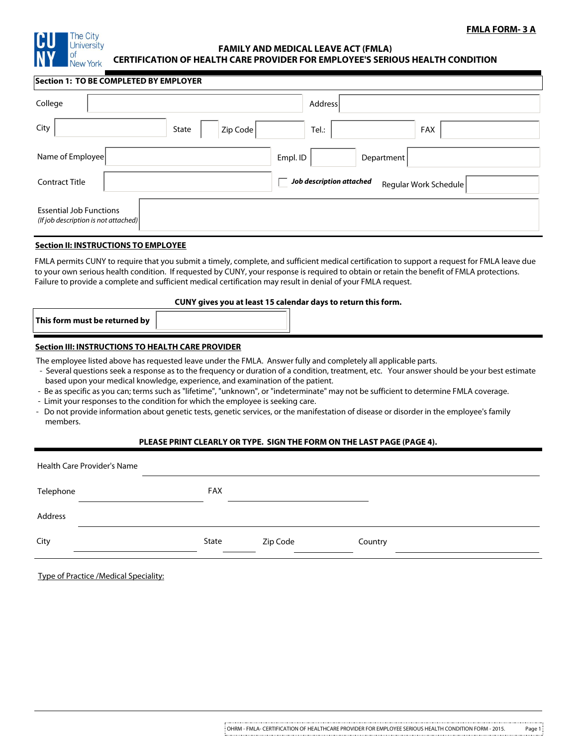

# **FMLA FORM- 3 A**

#### **FAMILY AND MEDICAL LEAVE ACT (FMLA) CERTIFICATION OF HEALTH CARE PROVIDER FOR EMPLOYEE'S SERIOUS HEALTH CONDITION**

#### **Section 1: TO BE COMPLETED BY EMPLOYER**

| College                                                                | Address                                           |  |  |  |  |  |
|------------------------------------------------------------------------|---------------------------------------------------|--|--|--|--|--|
| City<br>Zip Code<br>State                                              | Tel.:<br>FAX                                      |  |  |  |  |  |
| Name of Employee                                                       | Empl. ID<br>Department                            |  |  |  |  |  |
| <b>Contract Title</b>                                                  | Job description attached<br>Regular Work Schedule |  |  |  |  |  |
| <b>Essential Job Functions</b><br>(If job description is not attached) |                                                   |  |  |  |  |  |

### **Section II: INSTRUCTIONS TO EMPLOYEE**

FMLA permits CUNY to require that you submit a timely, complete, and sufficient medical certification to support a request for FMLA leave due to your own serious health condition. If requested by CUNY, your response is required to obtain or retain the benefit of FMLA protections. Failure to provide a complete and sufficient medical certification may result in denial of your FMLA request.

### **CUNY gives you at least 15 calendar days to return this form.**

### **Section III: INSTRUCTIONS TO HEALTH CARE PROVIDER**

The employee listed above has requested leave under the FMLA. Answer fully and completely all applicable parts.

- Several questions seek a response as to the frequency or duration of a condition, treatment, etc. Your answer should be your best estimate based upon your medical knowledge, experience, and examination of the patient.
- Be as specific as you can; terms such as "lifetime", "unknown", or "indeterminate" may not be sufficient to determine FMLA coverage.
- Limit your responses to the condition for which the employee is seeking care.
- Do not provide information about genetic tests, genetic services, or the manifestation of disease or disorder in the employee's family members.

### **PLEASE PRINT CLEARLY OR TYPE. SIGN THE FORM ON THE LAST PAGE (PAGE 4).**

| Health Care Provider's Name |  |            |          |         |  |  |  |
|-----------------------------|--|------------|----------|---------|--|--|--|
| Telephone                   |  | <b>FAX</b> |          |         |  |  |  |
| Address                     |  |            |          |         |  |  |  |
| City                        |  | State      | Zip Code | Country |  |  |  |

|  |  | <b>Type of Practice /Medical Speciality:</b> |  |  |  |  |
|--|--|----------------------------------------------|--|--|--|--|
|  |  |                                              |  |  |  |  |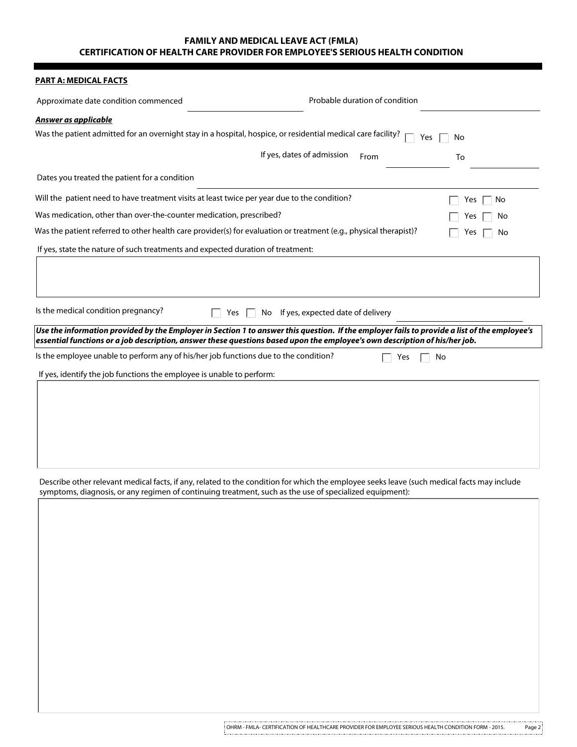## **FAMILY AND MEDICAL LEAVE ACT (FMLA) CERTIFICATION OF HEALTH CARE PROVIDER FOR EMPLOYEE'S SERIOUS HEALTH CONDITION**

# **PART A: MEDICAL FACTS**

| <u>PARI A: MEDICAL FACIS</u>                                                                                               |                                                                                                                                              |
|----------------------------------------------------------------------------------------------------------------------------|----------------------------------------------------------------------------------------------------------------------------------------------|
| Approximate date condition commenced                                                                                       | Probable duration of condition                                                                                                               |
| Answer as applicable                                                                                                       |                                                                                                                                              |
| Was the patient admitted for an overnight stay in a hospital, hospice, or residential medical care facility?               | Yes<br>No                                                                                                                                    |
|                                                                                                                            | If yes, dates of admission<br>From<br>To                                                                                                     |
|                                                                                                                            |                                                                                                                                              |
| Dates you treated the patient for a condition                                                                              |                                                                                                                                              |
| Will the patient need to have treatment visits at least twice per year due to the condition?                               | No<br>Yes                                                                                                                                    |
| Was medication, other than over-the-counter medication, prescribed?                                                        | Yes<br>No                                                                                                                                    |
| Was the patient referred to other health care provider(s) for evaluation or treatment (e.g., physical therapist)?          | Yes<br>No                                                                                                                                    |
| If yes, state the nature of such treatments and expected duration of treatment:                                            |                                                                                                                                              |
|                                                                                                                            |                                                                                                                                              |
|                                                                                                                            |                                                                                                                                              |
|                                                                                                                            |                                                                                                                                              |
| Is the medical condition pregnancy?<br>П.                                                                                  | Yes $\Box$ No If yes, expected date of delivery                                                                                              |
|                                                                                                                            | Use the information provided by the Employer in Section 1 to answer this question. If the employer fails to provide a list of the employee's |
| essential functions or a job description, answer these questions based upon the employee's own description of his/her job. |                                                                                                                                              |
| Is the employee unable to perform any of his/her job functions due to the condition?                                       | Yes<br>No                                                                                                                                    |
| If yes, identify the job functions the employee is unable to perform:                                                      |                                                                                                                                              |
|                                                                                                                            |                                                                                                                                              |
|                                                                                                                            |                                                                                                                                              |
|                                                                                                                            |                                                                                                                                              |
|                                                                                                                            |                                                                                                                                              |
|                                                                                                                            |                                                                                                                                              |
|                                                                                                                            |                                                                                                                                              |
| symptoms, diagnosis, or any regimen of continuing treatment, such as the use of specialized equipment):                    | Describe other relevant medical facts, if any, related to the condition for which the employee seeks leave (such medical facts may include   |
|                                                                                                                            |                                                                                                                                              |
|                                                                                                                            |                                                                                                                                              |
|                                                                                                                            |                                                                                                                                              |
|                                                                                                                            |                                                                                                                                              |
|                                                                                                                            |                                                                                                                                              |
|                                                                                                                            |                                                                                                                                              |
|                                                                                                                            |                                                                                                                                              |
|                                                                                                                            |                                                                                                                                              |
|                                                                                                                            |                                                                                                                                              |
|                                                                                                                            |                                                                                                                                              |
|                                                                                                                            |                                                                                                                                              |
|                                                                                                                            |                                                                                                                                              |
|                                                                                                                            |                                                                                                                                              |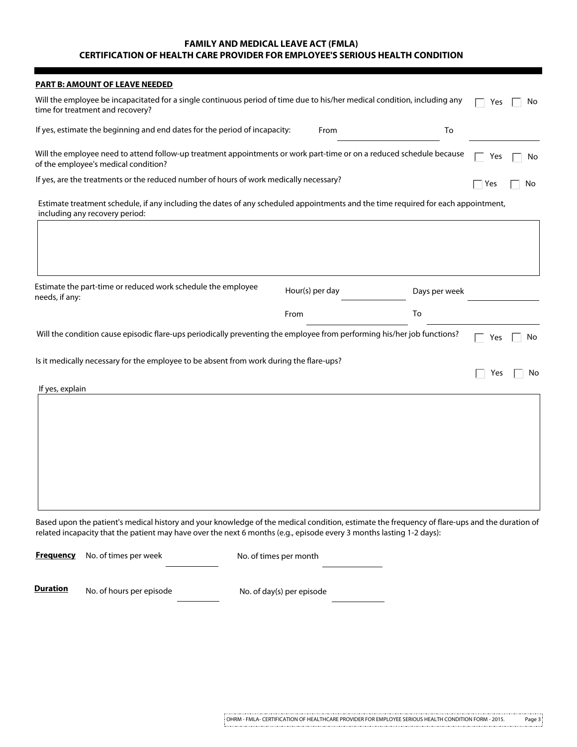## **FAMILY AND MEDICAL LEAVE ACT (FMLA) CERTIFICATION OF HEALTH CARE PROVIDER FOR EMPLOYEE'S SERIOUS HEALTH CONDITION**

| <b>PART B: AMOUNT OF LEAVE NEEDED</b>                                                                                                                                                                                                                                 |                 |               |     |    |
|-----------------------------------------------------------------------------------------------------------------------------------------------------------------------------------------------------------------------------------------------------------------------|-----------------|---------------|-----|----|
| Will the employee be incapacitated for a single continuous period of time due to his/her medical condition, including any<br>time for treatment and recovery?                                                                                                         |                 |               | Yes | No |
| If yes, estimate the beginning and end dates for the period of incapacity:                                                                                                                                                                                            | From            | To            |     |    |
| Will the employee need to attend follow-up treatment appointments or work part-time or on a reduced schedule because<br>of the employee's medical condition?                                                                                                          |                 |               | Yes | No |
| If yes, are the treatments or the reduced number of hours of work medically necessary?                                                                                                                                                                                |                 |               | Yes | No |
| Estimate treatment schedule, if any including the dates of any scheduled appointments and the time required for each appointment,<br>including any recovery period:                                                                                                   |                 |               |     |    |
|                                                                                                                                                                                                                                                                       |                 |               |     |    |
| Estimate the part-time or reduced work schedule the employee<br>needs, if any:                                                                                                                                                                                        | Hour(s) per day | Days per week |     |    |
|                                                                                                                                                                                                                                                                       | From            | To            |     |    |
| Will the condition cause episodic flare-ups periodically preventing the employee from performing his/her job functions?                                                                                                                                               |                 |               | Yes | No |
| Is it medically necessary for the employee to be absent from work during the flare-ups?                                                                                                                                                                               |                 |               | Yes | No |
| If yes, explain                                                                                                                                                                                                                                                       |                 |               |     |    |
|                                                                                                                                                                                                                                                                       |                 |               |     |    |
|                                                                                                                                                                                                                                                                       |                 |               |     |    |
|                                                                                                                                                                                                                                                                       |                 |               |     |    |
|                                                                                                                                                                                                                                                                       |                 |               |     |    |
|                                                                                                                                                                                                                                                                       |                 |               |     |    |
|                                                                                                                                                                                                                                                                       |                 |               |     |    |
| Based upon the patient's medical history and your knowledge of the medical condition, estimate the frequency of flare-ups and the duration of<br>related incapacity that the patient may have over the next 6 months (e.g., episode every 3 months lasting 1-2 days): |                 |               |     |    |

|   | <b>Frequency</b> No. of times per week | No. of times per month |  |
|---|----------------------------------------|------------------------|--|
| D |                                        |                        |  |

**Duration** No. of hours per episode No. of day(s) per episode